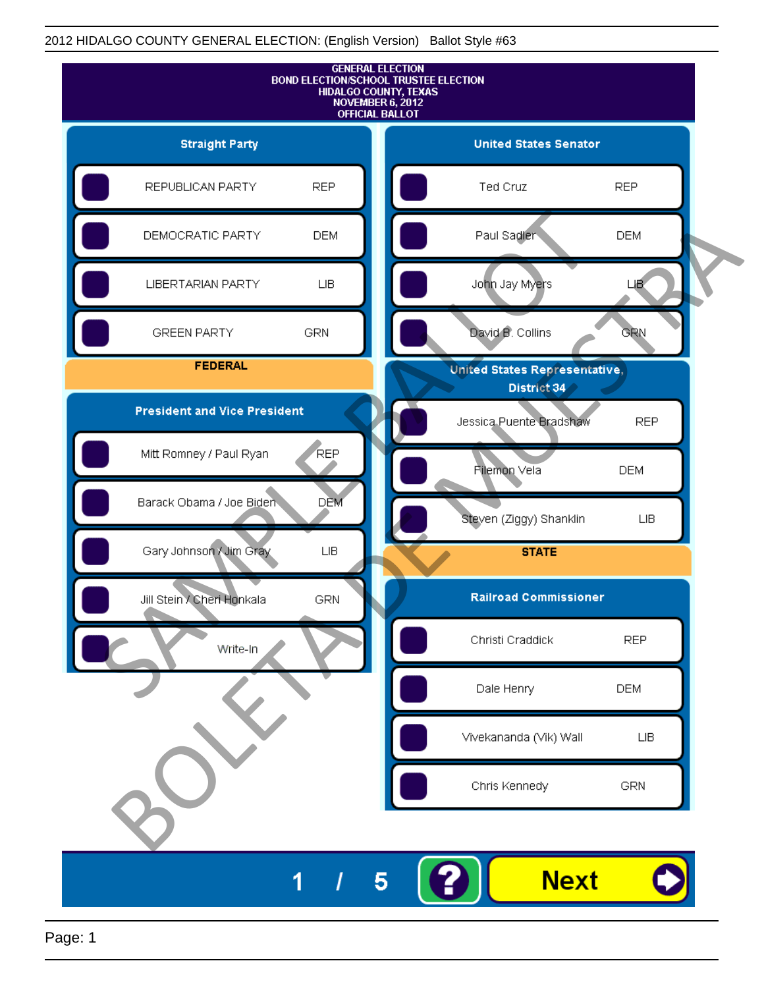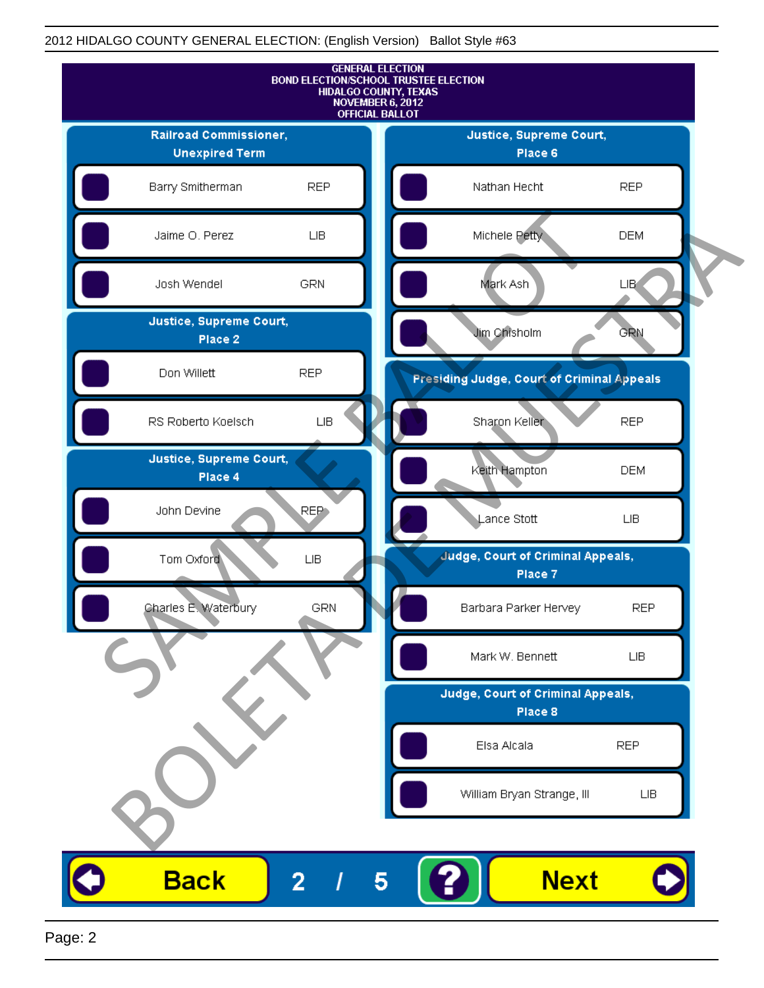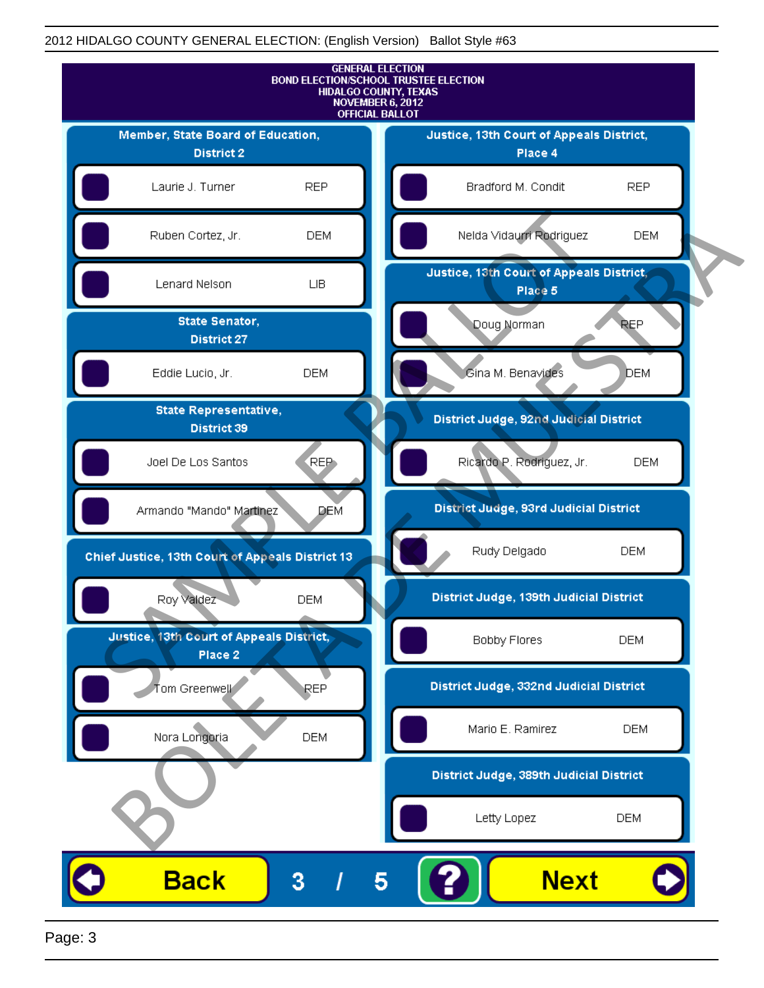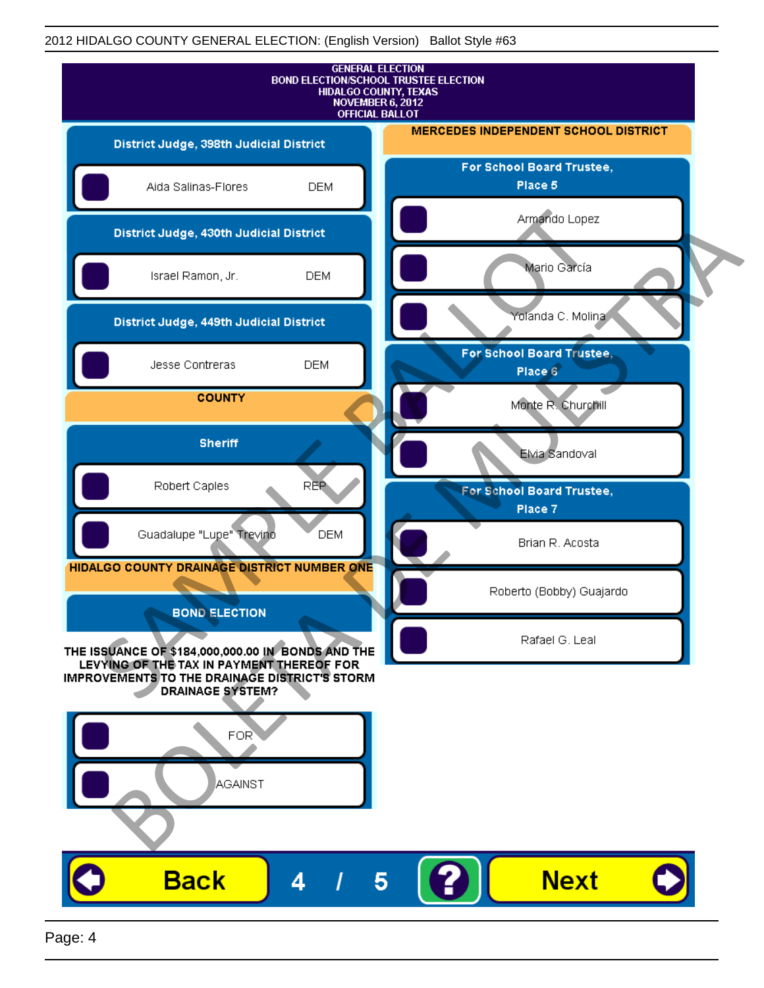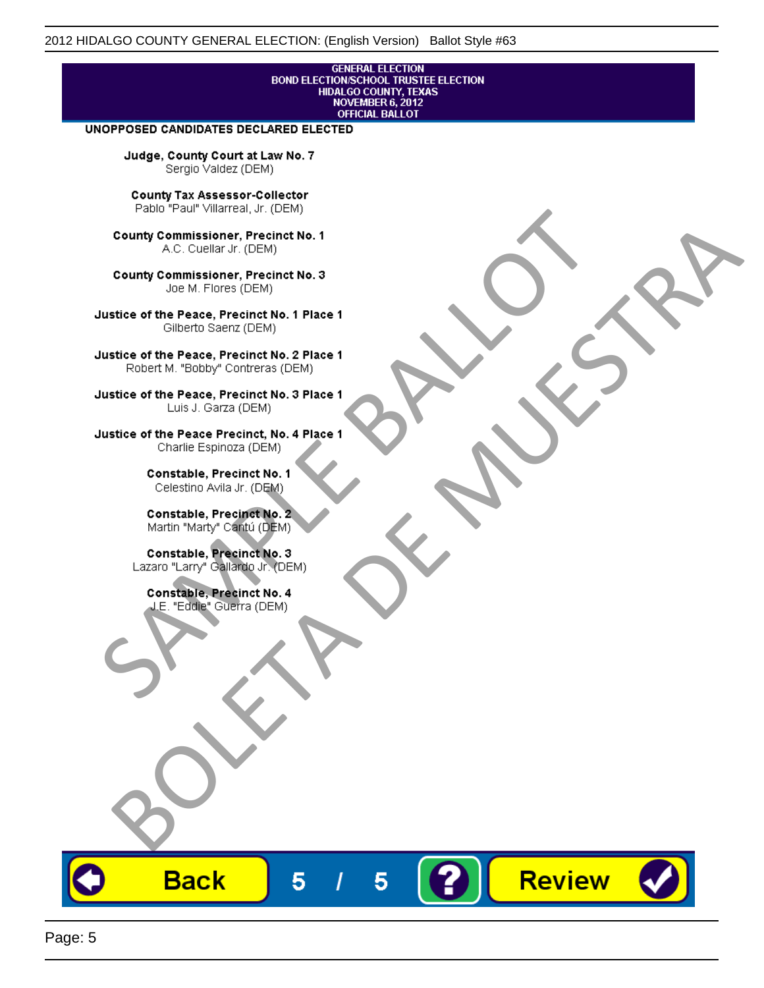# **GENERAL ELECTION** BOND ELECTION/SCHOOL TRUSTEE ELECTION<br>HIDALGO COUNTY, TEXAS<br>NOVEMBER 6, 2012<br>OFFICIAL BALLOT

Review

#### UNOPPOSED CANDIDATES DECLARED ELECTED

Judge, County Court at Law No. 7 Sergio Valdez (DEM)

County Tax Assessor-Collector

Fall Paul Visitera, Precinct No. 1<br>
County Commissioner, Precinct No. 1<br>
SAC. Cutellar JF: (DEM)<br>
County Commissioner, Precinct No. 2<br>
Ulattice of the Peace, Precinct No. 2 Place 1<br>
Counter M. "Bobby" Contrers (DEM)<br>
Ulatt County Commissioner, Precinct No. 1<br>
Accounts: A County Commissioner, Precinct No. 3<br>
Use of the Peace, Precinct No. 1<br>
Siste of the Peace, Precinct No. 1<br>
There is a control of the County Commission (DEM)<br>
There is a cont

**Back** 

5

5

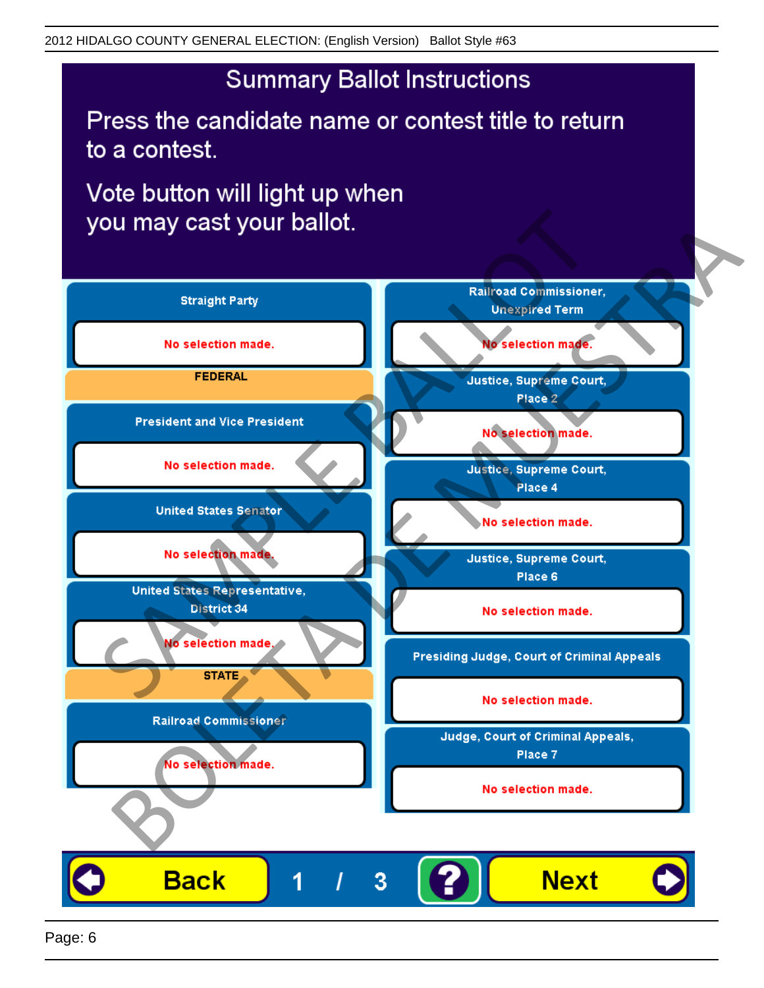## **Summary Ballot Instructions**

Press the candidate name or contest title to return to a contest.

Vote button will light up when

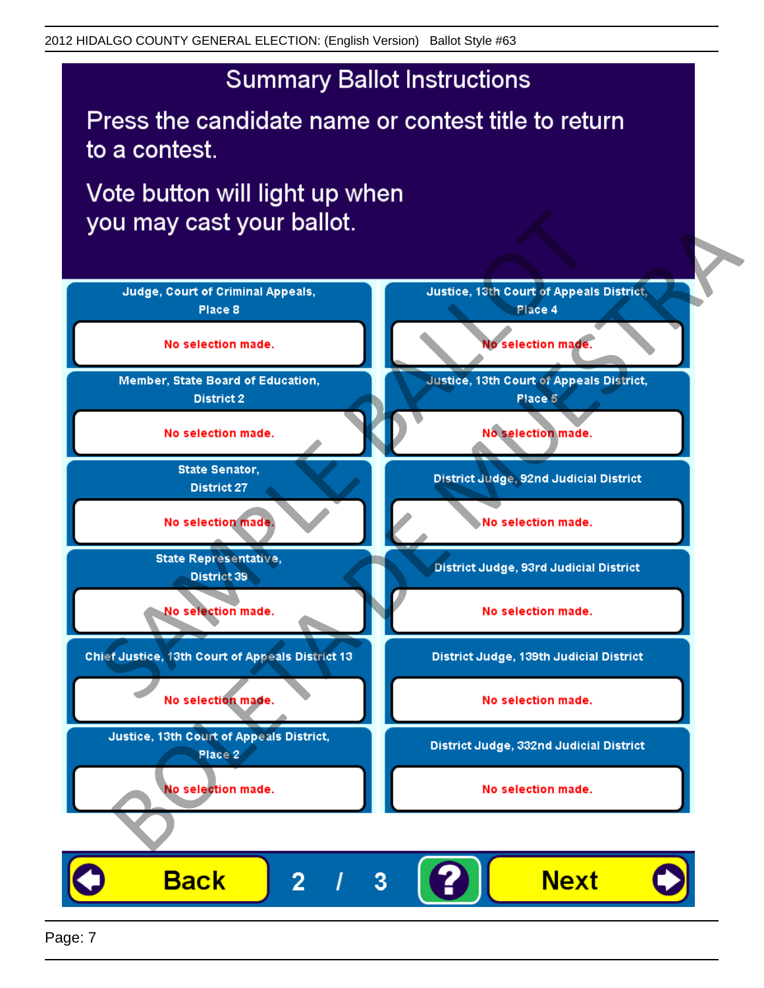## **Summary Ballot Instructions**

Press the candidate name or contest title to return to a contest.

Vote button will light up when